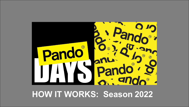

# **HOW IT WORKS: Season 2022**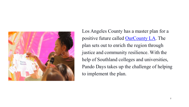

Los Angeles County has a master plan for a positive future called [OurCounty](https://ourcountyla.lacounty.gov/) LA. The plan sets out to enrich the region through justice and community resilience. With the help of Southland colleges and universities, Pando Days takes up the challenge of helping to implement the plan.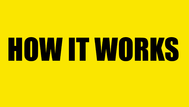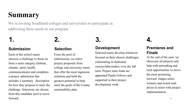# **Summary**

We're inviting Southland colleges and universities to participate in addressing these needs in our program.

#### **Submission**

**1.**

Each of the school teams chooses a challenge to focus on from a main category (habitat, climate, spirit, health, communications) and completes a project submission that includes a summary description for how they propose to meet the challenge. Selections are chosen from this candidate pool to move forward.

### **2. Selection**

From the pool of submissions, we select project proposals from college and university teams that offer the most ingenious solutions and hold the greatest potential to help meet the goals of the County sustainability plan.

### **3.**

#### **Development**

Selected teams develop initiatives focused on their chosen challenges, culminating in dedicated courses/labs/studios over the fall term. Project team leads are appointed Pando Fellows and supported in their project development work.

### **4.**

#### **Premieres and Finale**

At the end of the year, we showcase all projects and help with networking and seed opportunities to move the most promising forward. Judges select winners and award cash prizes to assist with project implementation.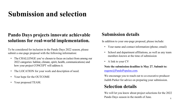## **Submission and selection**

### **Pando Days projects innovate achievable solutions for real-world implementation.**

To be considered for inclusion in the Pando Days 2022 season, please submit a one-page proposal with the following information:

- The CHALLENGE you've chosen to focus on (select from among our 2022 categories: habitat, climate, spirit, health, communications) and how your project CONCEPT will address it.
- The LOCATION for your work and description of need.
- Your hope for the OUTCOME
- Your proposed TEAM.

#### **Submission details**

In addition to your one-page proposal, please include:

- Your name and contact information (phone; email)
- School and department affiliations, as well as any team members known at the time of submission
- A link to your CV

**Note the submission deadline is May 27. Submit to:**  [eugene@PandoPopulus.com](mailto:eugene@PandoPopulus.com).

We encourage you to reach out to co-executive producer Judith Parker for advice on preparing your submission.

#### **Selection details**

We will let you know about project selections for the 2022 Pando Days season in the month of June.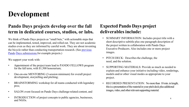# **Development**

### **Pando Days projects develop over the fall term in dedicated courses, studios, or labs.**

We think of Pando Days projects as "small bets," with actionable steps that can be implemented, tested, improved, and rolled out. They are not academic studies even as they are informed by careful work. They are about inventing [the bicycle rather than conducting transportation research. \(See](https://pandopopulus.com/programs/pando-days/schools-projects/) previous Pando Days [submissions](https://pandopopulus.com/programs-pando-days-projects/) for example projects.)

We support your work with:

- Appointment of the project team lead to PANDO FELLOWS program for the fall term, with  $$1,500$  honorarium;
- One-on-one MENTORING (3-session minimum) for overall project development, storytelling and pitching;
- BRAINSTORMING workshop for all teams conducted with legendary pros;
- SALON event focused on Pando Days challenge-related content, and
- INTRODUCTION of project concepts to public agencies, businesses, and NGOs.

#### **Expected Pando Days project deliverables include:**

- SUMMARY INFORMATION: Includes project title with a short descriptive subtitle plus one paragraph description of the project written in collaboration with Pando Days Executive Producers. Also includes one or more project images.
- PITCH DECK: Describes the challenge, the need, and the solution.
- SUPPORTING MATERIALS: Provide as much as needed to explain and enhance your initiative including video, renderings, models and/or other visual modes as appropriate to your project.
- RECORDED PRESENTATION: No more than 10 min. in length, this is a presentation of the material in your pitch deck plus additional images, video, and other relevant supporting material.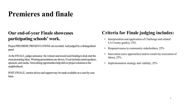## **Premieres and finale**

### **Our end-of-year Finale showcases participating schools' work.**

Project PREMIERE PRESENTATIONS are recorded. And judged by a distinguished panel.

At the FINALE, judges announce the winners and award seed-funding to kick-start the most promising ideas. Winning presentations are shown. Event includes noted speakers, sponsors, and media. Networking opportunities help deliver project solutions to the neighborhood.

POST-FINALE, mentor advice and support may be made available on a case-by-case basis.

### **Criteria for Finale judging includes:**

- Interpretation and application of Challenge and related LA County goal(s), 25%
- Responsiveness to community stakeholders, 25%
- Innovation (new approaches) and/or creativity (execution of ideas), 25%
- Implementation strategy and viability, 25%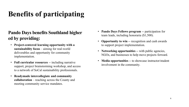# **Benefits of participating**

### **Pando Days benefits Southland higher ed by providing:**

- **Project-centered learning opportunity with a sustainability focus** – aiming for real-world deliverables and opportunity for community implementation.
- **Full curricular resources** -- including narrative support, project brainstorming workshop, and access to a network of SoCal sustainability professionals.
- **Readymade intercollegiate and community collaboration** – reaching across the County and meeting community service mandates.
- **Pando Days Fellows program** -- participation for team leads, including honoraria (\$1,500).
- **Opportunity to win** -- recognition and cash awards to support project implementation.
- **Networking opportunities** -- with public agencies, NGOs, and businesses to help move projects forward.
- **Media opportunities** -- to showcase instructor/student involvement in the community.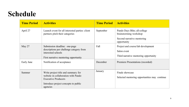## **Schedule**

| <b>Time Period</b> | <b>Activities</b>                                                                                                                                            | <b>Time Period</b> | <b>Activities</b>                                                                                    |
|--------------------|--------------------------------------------------------------------------------------------------------------------------------------------------------------|--------------------|------------------------------------------------------------------------------------------------------|
| April 27           | Launch event for all interested parties: client<br>partners pitch their categories                                                                           | September          | Pando Days Blitz; all-college<br>brainstorming workshop<br>Second narrative mentoring<br>opportunity |
| May 27             | Submission deadline: one-page<br>descriptions per challenge category from<br>interested schools<br>First narrative mentoring opportunity                     | Fall               | Project and course/lab development<br>Salon event<br>Third narrative mentoring opportunity           |
| Early June         | Notification of acceptance                                                                                                                                   | December           | Premiere Presentations (recorded)                                                                    |
| Summer             | Write project title and summary for<br>website in collaboration with Pando<br><b>Executive Producers</b><br>Introduce project concepts to public<br>agencies | January            | Finale showcase<br>Selected mentoring opportunities may continue                                     |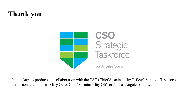# **Thank you**



Pando Days is produced in collaboration with the CSO (Chief Sustainability Officer) Strategic Taskforce and in consultation with Gary Gero, Chief Sustainability Officer for Los Angeles County.